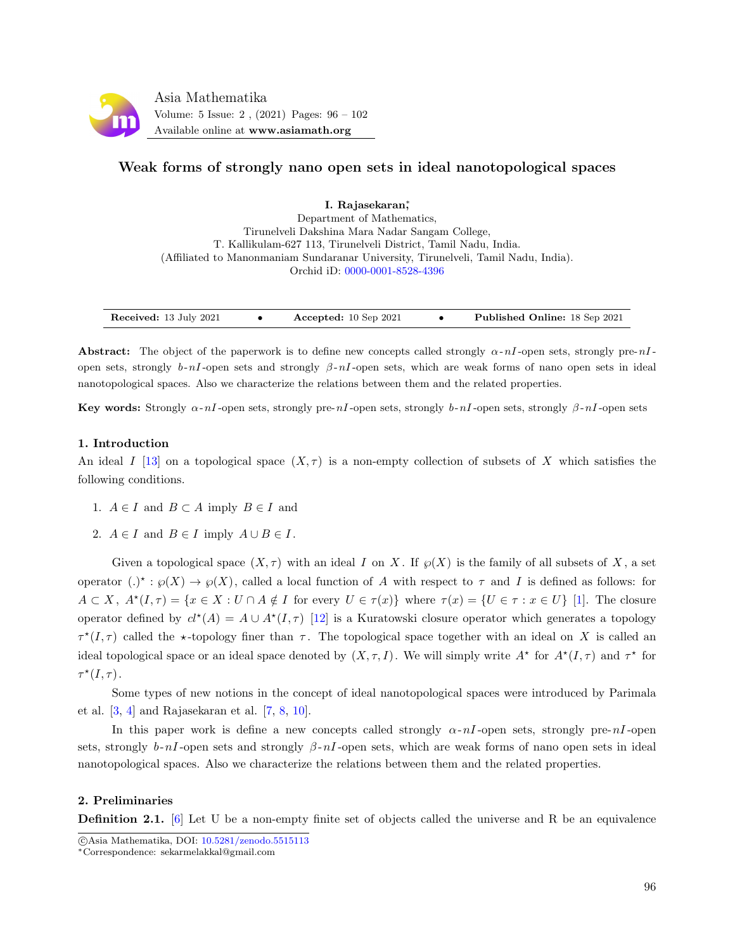

# Weak forms of strongly nano open sets in ideal nanotopological spaces

I. Rajasekaran<sup>\*</sup>, Department of Mathematics, Tirunelveli Dakshina Mara Nadar Sangam College, T. Kallikulam-627 113, Tirunelveli District, Tamil Nadu, India. (Affiliated to Manonmaniam Sundaranar University, Tirunelveli, Tamil Nadu, India). Orchid iD: [0000-0001-8528-4396](https://orcid.org/0000-0001-8528-4396)

| Received: 13 July 2021 |  | Accepted: $10$ Sep 2021 |  | <b>Published Online:</b> 18 Sep 2021 |
|------------------------|--|-------------------------|--|--------------------------------------|
|------------------------|--|-------------------------|--|--------------------------------------|

Abstract: The object of the paperwork is to define new concepts called strongly  $\alpha$ -nI-open sets, strongly pre-nIopen sets, strongly b-nI-open sets and strongly  $\beta$ -nI-open sets, which are weak forms of nano open sets in ideal nanotopological spaces. Also we characterize the relations between them and the related properties.

Key words: Strongly  $\alpha$ -nI-open sets, strongly pre-nI-open sets, strongly b-nI-open sets, strongly  $\beta$ -nI-open sets

### 1. Introduction

An ideal I [\[13\]](#page-6-0) on a topological space  $(X, \tau)$  is a non-empty collection of subsets of X which satisfies the following conditions.

- 1.  $A \in I$  and  $B \subset A$  imply  $B \in I$  and
- 2.  $A \in I$  and  $B \in I$  imply  $A \cup B \in I$ .

Given a topological space  $(X, \tau)$  with an ideal I on X. If  $\wp(X)$  is the family of all subsets of X, a set operator  $(.)^* : \wp(X) \to \wp(X)$ , called a local function of A with respect to  $\tau$  and I is defined as follows: for  $A \subset X$ ,  $A^*(I, \tau) = \{x \in X : U \cap A \notin I \text{ for every } U \in \tau(x)\}$  where  $\tau(x) = \{U \in \tau : x \in U\}$  [\[1\]](#page-6-1). The closure operator defined by  $cl^*(A) = A \cup A^*(I, \tau)$  [\[12\]](#page-6-2) is a Kuratowski closure operator which generates a topology  $\tau^*(I, \tau)$  called the  $\star$ -topology finer than  $\tau$ . The topological space together with an ideal on X is called an ideal topological space or an ideal space denoted by  $(X, \tau, I)$ . We will simply write  $A^*$  for  $A^*(I, \tau)$  and  $\tau^*$  for  $\tau^{\star}(I,\tau)$ .

Some types of new notions in the concept of ideal nanotopological spaces were introduced by Parimala et al. [\[3,](#page-6-3) [4\]](#page-6-4) and Rajasekaran et al. [\[7,](#page-6-5) [8,](#page-6-6) [10\]](#page-6-7).

In this paper work is define a new concepts called strongly  $\alpha$ -nI-open sets, strongly pre-nI-open sets, strongly b-nI-open sets and strongly  $\beta$ -nI-open sets, which are weak forms of nano open sets in ideal nanotopological spaces. Also we characterize the relations between them and the related properties.

### 2. Preliminaries

**Definition 2.1.** [\[6\]](#page-6-8) Let U be a non-empty finite set of objects called the universe and R be an equivalence

c Asia Mathematika, DOI: [10.5281/zenodo.5515113](http://www.asiamath.org/article/vol5iss2/AM-2108-5218.pdf)

<sup>∗</sup>Correspondence: sekarmelakkal@gmail.com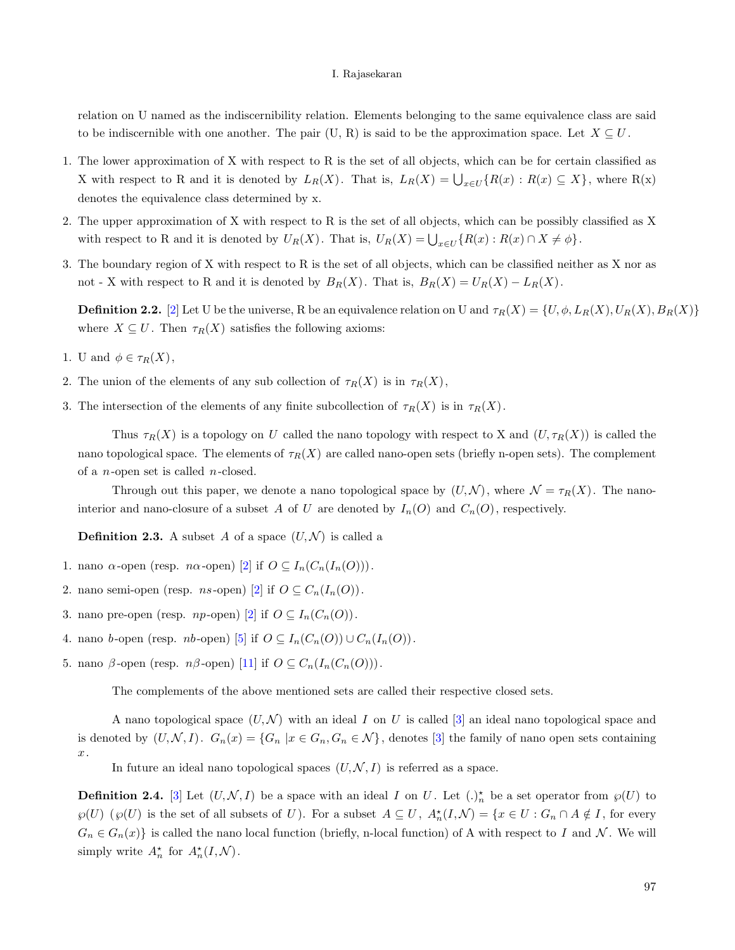relation on U named as the indiscernibility relation. Elements belonging to the same equivalence class are said to be indiscernible with one another. The pair (U, R) is said to be the approximation space. Let  $X \subseteq U$ .

- 1. The lower approximation of X with respect to R is the set of all objects, which can be for certain classified as X with respect to R and it is denoted by  $L_R(X)$ . That is,  $L_R(X) = \bigcup_{x \in U} \{R(x) : R(x) \subseteq X\}$ , where  $R(x)$ denotes the equivalence class determined by x.
- 2. The upper approximation of X with respect to R is the set of all objects, which can be possibly classified as X with respect to R and it is denoted by  $U_R(X)$ . That is,  $U_R(X) = \bigcup_{x \in U} \{R(x) : R(x) \cap X \neq \emptyset\}$ .
- 3. The boundary region of X with respect to R is the set of all objects, which can be classified neither as X nor as not - X with respect to R and it is denoted by  $B_R(X)$ . That is,  $B_R(X) = U_R(X) - L_R(X)$ .

**Definition 2.2.** [\[2\]](#page-6-9) Let U be the universe, R be an equivalence relation on U and  $\tau_R(X) = \{U, \phi, L_R(X), U_R(X), B_R(X)\}$ where  $X \subseteq U$ . Then  $\tau_R(X)$  satisfies the following axioms:

- 1. U and  $\phi \in \tau_R(X)$ ,
- 2. The union of the elements of any sub collection of  $\tau_R(X)$  is in  $\tau_R(X)$ ,
- 3. The intersection of the elements of any finite subcollection of  $\tau_R(X)$  is in  $\tau_R(X)$ .

Thus  $\tau_R(X)$  is a topology on U called the nano topology with respect to X and  $(U, \tau_R(X))$  is called the nano topological space. The elements of  $\tau_R(X)$  are called nano-open sets (briefly n-open sets). The complement of a *n*-open set is called *n*-closed.

Through out this paper, we denote a nano topological space by  $(U, \mathcal{N})$ , where  $\mathcal{N} = \tau_R(X)$ . The nanointerior and nano-closure of a subset A of U are denoted by  $I_n(O)$  and  $C_n(O)$ , respectively.

**Definition 2.3.** A subset A of a space  $(U, \mathcal{N})$  is called a

- 1. nano  $\alpha$ -open (resp. *n* $\alpha$ -open) [\[2\]](#page-6-9) if  $O \subseteq I_n(C_n(I_n(O)))$ .
- 2. nano semi-open (resp. *ns*-open) [\[2\]](#page-6-9) if  $O \subseteq C_n(I_n(O)).$
- 3. nano pre-open (resp. *np*-open) [\[2\]](#page-6-9) if  $O \subseteq I_n(C_n(O))$ .
- 4. nano b-open (resp. nb-open) [\[5\]](#page-6-10) if  $O \subseteq I_n(C_n(O)) \cup C_n(I_n(O))$ .
- 5. nano β-open (resp. *n*β-open) [\[11\]](#page-6-11) if  $O \subseteq C_n(I_n(C_n(O)))$ .

The complements of the above mentioned sets are called their respective closed sets.

A nano topological space  $(U, \mathcal{N})$  with an ideal I on U is called [\[3\]](#page-6-3) an ideal nano topological space and is denoted by  $(U, \mathcal{N}, I)$ .  $G_n(x) = \{G_n | x \in G_n, G_n \in \mathcal{N}\}\$ , denotes [\[3\]](#page-6-3) the family of nano open sets containing  $\boldsymbol{x}$  .

In future an ideal nano topological spaces  $(U, \mathcal{N}, I)$  is referred as a space.

**Definition 2.4.** [\[3\]](#page-6-3) Let  $(U, \mathcal{N}, I)$  be a space with an ideal I on U. Let  $(.)^{\star}_n$  be a set operator from  $\wp(U)$  to  $\wp(U)$  ( $\wp(U)$ ) is the set of all subsets of U). For a subset  $A \subseteq U$ ,  $A_n^*(I,N) = \{x \in U : G_n \cap A \notin I\}$ , for every  $G_n \in G_n(x)$  is called the nano local function (briefly, n-local function) of A with respect to I and N. We will simply write  $A_n^*$  for  $A_n^*(I, \mathcal{N})$ .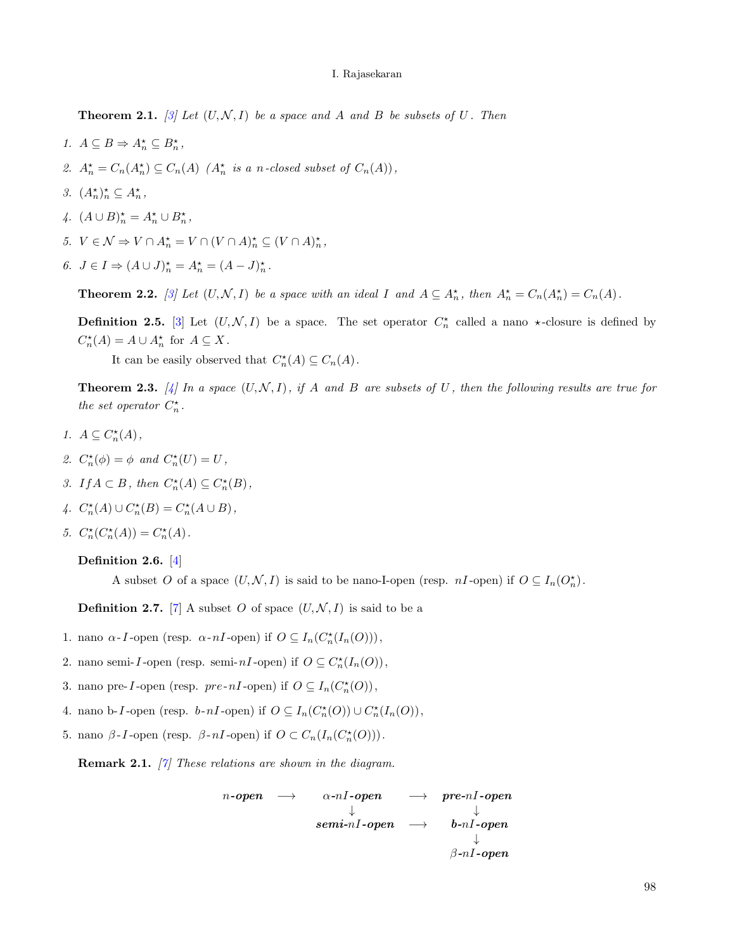**Theorem 2.1.** [\[3\]](#page-6-3) Let  $(U, \mathcal{N}, I)$  be a space and A and B be subsets of U. Then

- 1.  $A \subseteq B \Rightarrow A_n^* \subseteq B_n^*$ ,
- 2.  $A_n^* = C_n(A_n^*) \subseteq C_n(A)$   $(A_n^*$  is a n-closed subset of  $C_n(A)$ ,
- 3.  $(A_n^{\star})_n^{\star} \subseteq A_n^{\star}$ ,
- 4.  $(A \cup B)^{\star}_n = A^{\star}_n \cup B^{\star}_n$ ,
- 5.  $V \in \mathcal{N} \Rightarrow V \cap A_n^* = V \cap (V \cap A)_n^* \subseteq (V \cap A)_n^*$ ,
- 6.  $J \in I \Rightarrow (A \cup J)^{\star}_{n} = A^{\star}_{n} = (A J)^{\star}_{n}$ .

**Theorem 2.2.** [\[3\]](#page-6-3) Let  $(U, \mathcal{N}, I)$  be a space with an ideal I and  $A \subseteq A_n^*$ , then  $A_n^* = C_n(A_n^*) = C_n(A)$ .

**Definition 2.5.** [\[3\]](#page-6-3) Let  $(U, \mathcal{N}, I)$  be a space. The set operator  $C_n^*$  called a nano  $*$ -closure is defined by  $C_n^*(A) = A \cup A_n^*$  for  $A \subseteq X$ .

It can be easily observed that  $C_n^*(A) \subseteq C_n(A)$ .

**Theorem 2.3.** [\[4\]](#page-6-4) In a space  $(U, \mathcal{N}, I)$ , if A and B are subsets of U, then the following results are true for the set operator  $C_n^*$ .

- 1.  $A \subseteq C_n^*(A)$ ,
- 2.  $C_n^{\star}(\phi) = \phi$  and  $C_n^{\star}(U) = U$ ,
- 3. If  $A \subset B$ , then  $C_n^*(A) \subseteq C_n^*(B)$ ,
- 4.  $C_n^*(A) \cup C_n^*(B) = C_n^*(A \cup B),$
- 5.  $C_n^*(C_n^*(A)) = C_n^*(A)$ .

# Definition 2.6. [\[4\]](#page-6-4)

A subset O of a space  $(U, \mathcal{N}, I)$  is said to be nano-I-open (resp. nI-open) if  $O \subseteq I_n(O_n^*)$ .

**Definition 2.7.** [\[7\]](#page-6-5) A subset O of space  $(U, \mathcal{N}, I)$  is said to be a

- 1. nano  $\alpha$ -*I*-open (resp.  $\alpha$ -*nI*-open) if  $O \subseteq I_n(C_n^*(I_n(O)))$ ,
- 2. nano semi-I-open (resp. semi- $nI$ -open) if  $O \subseteq C_n^*(I_n(O)),$
- 3. nano pre-I-open (resp. pre-nI-open) if  $O \subseteq I_n(C_n^*(O)),$
- 4. nano b-I-open (resp. b-nI-open) if  $O \subseteq I_n(C_n^*(O)) \cup C_n^*(I_n(O)),$
- 5. nano β-I-open (resp. β-nI-open) if  $O \subset C_n(I_n(C^*_{n}(O)))$ .

<span id="page-2-0"></span>**Remark 2.1.** [\[7\]](#page-6-5) These relations are shown in the diagram.

$$
\begin{array}{cccc} n\text{-open} & \longrightarrow & \alpha\text{-}n\textit{I-open} & \longrightarrow & pre\text{-}n\textit{I-open} \\ & & \downarrow & & \\ & & \text{\phantom{a}} & & \downarrow & \\ & & & \text{\phantom{a}} & \text{\phantom{a}} & \text{\phantom{a}} \\ & & & & \text{\phantom{a}} & \text{\phantom{a}} \\ & & & & & \text{\phantom{a}} \\ \text{\phantom{a}} & & & & \text{\phantom{a}} \\ \text{\phantom{a}} & & & & \text{\phantom{a}} \\ \text{\phantom{a}} & & & & \text{\phantom{a}} \\ \text{\phantom{a}} & & & & \text{\phantom{a}} \\ \text{\phantom{a}} & & & & \text{\phantom{a}} \\ \text{\phantom{a}} & & & & \text{\phantom{a}} \\ \text{\phantom{a}} & & & & \text{\phantom{a}} \\ \text{\phantom{a}} & & & & \text{\phantom{a}} \\ \text{\phantom{a}} & & & & \text{\phantom{a}} \\ \text{\phantom{a}} & & & & \text{\phantom{a}} \\ \text{\phantom{a}} & & & & \text{\phantom{a}} \\ \text{\phantom{a}} & & & & \text{\phantom{a}} \\ \text{\phantom{a}} & & & & \text{\phantom{a}} \\ \text{\phantom{a}} & & & & \text{\phantom{a}} \\ \text{\phantom{a}} & & & & \text{\phantom{a}} \\ \text{\phantom{a}} & & & & \text{\phantom{a}} \\ \text{\phantom{a}} & & & & \text{\phantom{a}} \\ \text{\phantom{a}} & & & & \text{\phantom{a}} \\ \text{\phantom{a}} & & & & \text{\phantom{a}} \\ \text{\phantom{a}} & & & & \text{\phantom{a}} \\ \text{\phantom{a}} & & & & \text{\phantom{a}} \\ \text{\phantom{a}} & & & & \text{\phantom{a}} \\ \text{\phantom{a}} & & & & \text{\phantom{a}} \\ \text{\phantom{a}} & & & & \text{\phantom{a}} \\ \text{\phantom{a}} & & & & \text{\phantom{a}} \\ \text{\phantom{a}} & & & & \text{\phantom{a}} \\ \text{\phantom{a}} & & & & \text{\phantom{a}} \\ \text{\phantom{a}} & & & & \text{\phantom{a}} \\ \text{\phantom{a}} & & & & \text{\phantom{a}} \\ \text{\phantom{a}} & & &
$$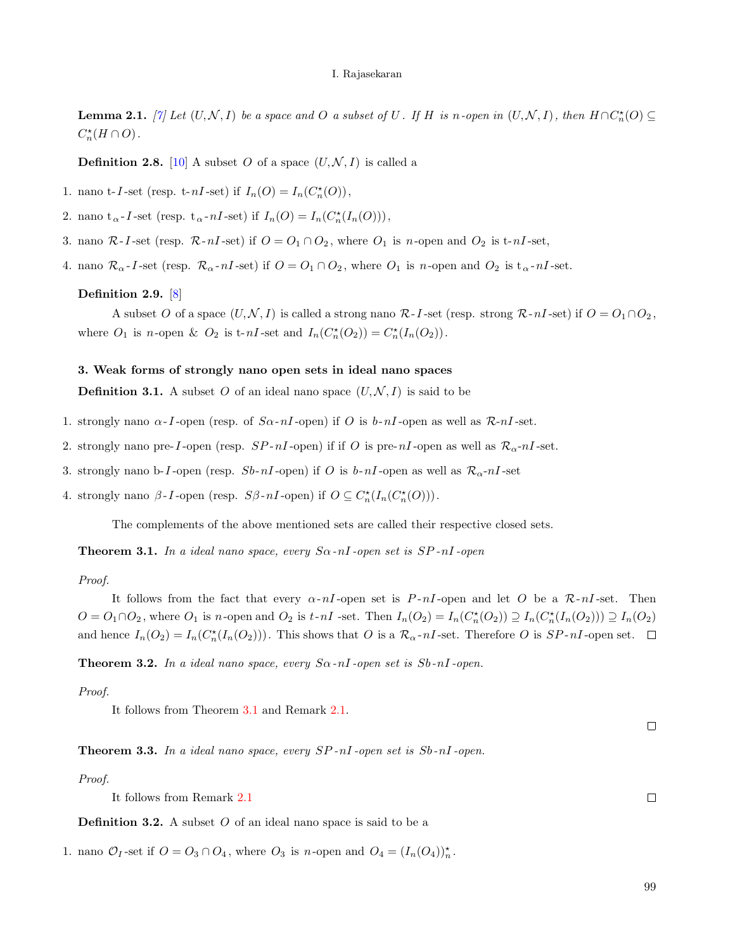<span id="page-3-1"></span>**Lemma 2.1.** [\[7\]](#page-6-5) Let  $(U, \mathcal{N}, I)$  be a space and O a subset of U. If H is n-open in  $(U, \mathcal{N}, I)$ , then  $H \cap C_n^*(O) \subseteq$  $C_n^*(H\cap O)$ .

**Definition 2.8.** [\[10\]](#page-6-7) A subset O of a space  $(U, \mathcal{N}, I)$  is called a

1. nano t-*I*-set (resp. t- $nI$ -set) if  $I_n(O) = I_n(C_n^*(O)),$ 

2. nano  $t_{\alpha}$ -*I*-set (resp.  $t_{\alpha}$ -*nI*-set) if  $I_n(O) = I_n(C_n^{\star}(I_n(O)))$ ,

3. nano  $\mathcal{R}\text{-}I$ -set (resp.  $\mathcal{R}\text{-}nI$ -set) if  $O = O_1 \cap O_2$ , where  $O_1$  is n-open and  $O_2$  is t-nI-set,

4. nano  $\mathcal{R}_{\alpha}$ -*I*-set (resp.  $\mathcal{R}_{\alpha}$ -n*I*-set) if  $O = O_1 \cap O_2$ , where  $O_1$  is n-open and  $O_2$  is  $t_{\alpha}$ -n*I*-set.

### Definition 2.9. [\[8\]](#page-6-6)

A subset O of a space  $(U, \mathcal{N}, I)$  is called a strong nano  $\mathcal{R}$ -I-set (resp. strong  $\mathcal{R}\text{-}nI$ -set) if  $O = O_1 \cap O_2$ , where  $O_1$  is n-open &  $O_2$  is t-nI-set and  $I_n(C_n^*(O_2)) = C_n^*(I_n(O_2))$ .

### 3. Weak forms of strongly nano open sets in ideal nano spaces

**Definition 3.1.** A subset O of an ideal nano space  $(U, \mathcal{N}, I)$  is said to be

- 1. strongly nano  $\alpha$ -*I*-open (resp. of  $S\alpha$ -n*I*-open) if O is  $b$ -n*I*-open as well as  $\mathcal{R}$ -n*I*-set.
- 2. strongly nano pre-I-open (resp.  $SP-nI$ -open) if if O is pre- $nI$ -open as well as  $\mathcal{R}_{\alpha}$ - $nI$ -set.
- 3. strongly nano b-I-open (resp.  $Sb-nI$ -open) if O is  $b-nI$ -open as well as  $\mathcal{R}_{\alpha}$ -nI-set

4. strongly nano  $\beta$ -*I*-open (resp.  $S\beta$ - $nI$ -open) if  $O \subseteq C_n^{\star}(I_n(C_n^{\star}(O)))$ .

The complements of the above mentioned sets are called their respective closed sets.

<span id="page-3-0"></span>**Theorem 3.1.** In a ideal nano space, every  $S_{\alpha}$ -nI-open set is  $SP$ -nI-open

### Proof.

It follows from the fact that every  $\alpha$ -nI-open set is P-nI-open and let O be a R-nI-set. Then  $O = O_1 \cap O_2$ , where  $O_1$  is n-open and  $O_2$  is  $t$ -nI -set. Then  $I_n(O_2) = I_n(C_n^*(O_2)) \supseteq I_n(C_n^*(I_n(O_2))) \supseteq I_n(O_2)$ and hence  $I_n(O_2) = I_n(C_n^*(I_n(O_2)))$ . This shows that O is a  $\mathcal{R}_{\alpha}$ -nI-set. Therefore O is  $SP-nI$ -open set.

**Theorem 3.2.** In a ideal nano space, every  $S_{\alpha}$ -nI-open set is  $S_{\alpha}$ -nI-open.

Proof.

It follows from Theorem [3.1](#page-3-0) and Remark [2.1.](#page-2-0)

**Theorem 3.3.** In a ideal nano space, every  $SP-nI$ -open set is  $Sb-nI$ -open.

Proof.

It follows from Remark [2.1](#page-2-0)

**Definition 3.2.** A subset  $O$  of an ideal nano space is said to be a

1. nano  $\mathcal{O}_I$ -set if  $O = O_3 \cap O_4$ , where  $O_3$  is *n*-open and  $O_4 = (I_n(O_4))_n^*$ .

99

 $\Box$ 

 $\Box$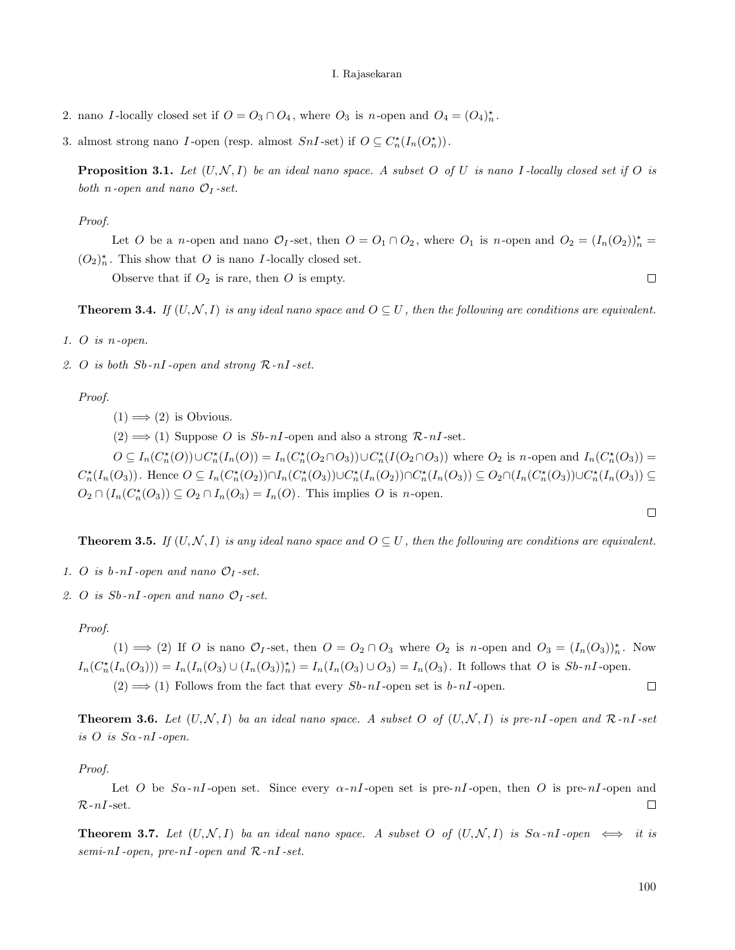- 2. nano I-locally closed set if  $O = O_3 \cap O_4$ , where  $O_3$  is n-open and  $O_4 = (O_4)_n^*$ .
- 3. almost strong nano I-open (resp. almost  $SnI$ -set) if  $O \subseteq C_n^*(I_n(O_n^*))$ .

**Proposition 3.1.** Let  $(U, \mathcal{N}, I)$  be an ideal nano space. A subset O of U is nano I-locally closed set if O is both *n*-open and nano  $\mathcal{O}_I$ -set.

### Proof.

Let O be a n-open and nano  $\mathcal{O}_I$ -set, then  $O = O_1 \cap O_2$ , where  $O_1$  is n-open and  $O_2 = (I_n(O_2))_n^* =$  $(O_2)_n^*$ . This show that O is nano I-locally closed set.

Observe that if  $O_2$  is rare, then O is empty.

**Theorem 3.4.** If  $(U, \mathcal{N}, I)$  is any ideal nano space and  $O \subseteq U$ , then the following are conditions are equivalent.

- 1. O is n-open.
- 2. O is both  $Sb-nI$ -open and strong  $R-nI$ -set.

Proof.

 $(1) \Longrightarrow (2)$  is Obvious.

 $(2) \implies (1)$  Suppose O is Sb-nI-open and also a strong R-nI-set.

 $O \subseteq I_n(C_n^*(O)) \cup C_n^*(I_n(O)) = I_n(C_n^*(O_2 \cap O_3)) \cup C_n^*(I(O_2 \cap O_3))$  where  $O_2$  is n-open and  $I_n(C_n^*(O_3)) =$  $C_n^{\star}(I_n(O_3))$ . Hence  $O \subseteq I_n(C_n^{\star}(O_2)) \cap I_n(C_n^{\star}(O_3)) \cup C_n^{\star}(I_n(O_2)) \cap C_n^{\star}(I_n(O_3)) \subseteq O_2 \cap (I_n(C_n^{\star}(O_3)) \cup C_n^{\star}(I_n(O_3)) \subseteq O_3)$  $O_2 \cap (I_n(C_n^*(O_3)) \subseteq O_2 \cap I_n(O_3) = I_n(O)$ . This implies O is n-open.

**Theorem 3.5.** If  $(U, \mathcal{N}, I)$  is any ideal nano space and  $O \subseteq U$ , then the following are conditions are equivalent.

- 1. O is  $b$ -nI-open and nano  $\mathcal{O}_I$ -set.
- 2. O is  $Sb$ -nI-open and nano  $\mathcal{O}_I$ -set.

#### Proof.

 $(1) \implies (2)$  If O is nano  $\mathcal{O}_I$ -set, then  $O = O_2 \cap O_3$  where  $O_2$  is n-open and  $O_3 = (I_n(O_3))_n^*$ . Now  $I_n(C_n^{\star}(I_n(O_3))) = I_n(I_n(O_3) \cup (I_n(O_3))_n^{\star}) = I_n(I_n(O_3) \cup O_3) = I_n(O_3)$ . It follows that O is  $Sb-nI$ -open.  $(2) \Longrightarrow (1)$  Follows from the fact that every  $Sb-nI$ -open set is  $b-nI$ -open.  $\Box$ 

**Theorem 3.6.** Let  $(U, \mathcal{N}, I)$  ba an ideal nano space. A subset O of  $(U, \mathcal{N}, I)$  is pre-nI-open and  $\mathcal{R}$ -nI-set is  $O$  is  $S_{\alpha}$ -nI-open.

Proof.

Let O be  $S_{\alpha}$ -nI-open set. Since every  $\alpha$ -nI-open set is pre-nI-open, then O is pre-nI-open and  $\mathcal{R}\text{-}nI$  -set.  $\Box$ 

**Theorem 3.7.** Let  $(U, \mathcal{N}, I)$  ba an ideal nano space. A subset O of  $(U, \mathcal{N}, I)$  is  $S\alpha$ -nI-open  $\iff$  it is  $semi\text{-}nI\text{-}open, pre\text{-}nI\text{-}open and R\text{-}nI\text{-}set.$ 

 $\Box$ 

 $\Box$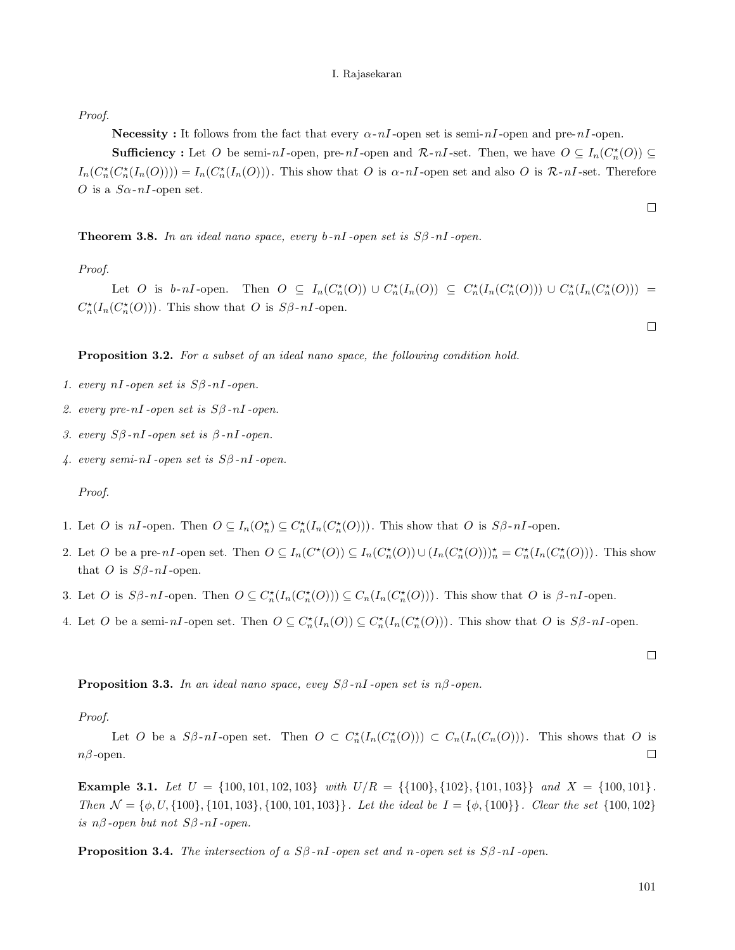Proof.

**Necessity :** It follows from the fact that every  $\alpha$ -nI-open set is semi-nI-open and pre-nI-open.

**Sufficiency**: Let O be semi-nI-open, pre-nI-open and  $\mathcal{R}\text{-}nI$ -set. Then, we have  $O \subseteq I_n(C_n^{\star}(O)) \subseteq$  $I_n(C_n^*(I_n(O))) = I_n(C_n^*(I_n(O)))$ . This show that O is  $\alpha$ -nI-open set and also O is  $\mathcal{R}$ -nI-set. Therefore O is a  $S_{\alpha}$ -nI-open set.

**Theorem 3.8.** In an ideal nano space, every b-nI-open set is  $S\beta$ -nI-open.

Proof.

Let O is b-nI-open. Then  $O \subseteq I_n(C_n^*(O)) \cup C_n^*(I_n(O)) \subseteq C_n^*(I_n(C_n^*(O))) \cup C_n^*(I_n(C_n^*(O))) =$  $C_n^{\star}(I_n(C_n^{\star}(O)))$ . This show that O is  $S\beta$ -nI-open.

Proposition 3.2. For a subset of an ideal nano space, the following condition hold.

- 1. every  $nI$ -open set is  $S\beta$ - $nI$ -open.
- 2. every pre-nI-open set is  $S\beta$ -nI-open.
- 3. every  $S\beta$ -nI-open set is  $β$ -nI-open.
- 4. every semi-nI-open set is  $S\beta$ -nI-open.

## Proof.

- 1. Let O is  $nI$ -open. Then  $O \subseteq I_n(O_n^{\star}) \subseteq C_n^{\star}(I_n(C_n^{\star}(O)))$ . This show that O is  $S\beta$ - $nI$ -open.
- 2. Let O be a pre-nI-open set. Then  $O \subseteq I_n(C^*(O)) \subseteq I_n(C^*_n(O)) \cup (I_n(C^*_n(O)))_n^* = C^*_n(I_n(C^*_n(O)))$ . This show that O is  $S\beta$ -nI-open.
- 3. Let O is  $S\beta-nI$ -open. Then  $O \subseteq C_n^*(I_n(C_n^*(O))) \subseteq C_n(I_n(C_n^*(O)))$ . This show that O is  $\beta-nI$ -open.
- 4. Let O be a semi-nI-open set. Then  $O \subseteq C_n^*(I_n(O)) \subseteq C_n^*(I_n(C_n^*(O)))$ . This show that O is  $S\beta$ -nI-open.

**Proposition 3.3.** In an ideal nano space, evey  $S\beta$ -nI-open set is  $n\beta$ -open.

Proof.

Let O be a  $S\beta$ -nI-open set. Then  $O \subset C_n^*(I_n(C_n^*(O))) \subset C_n(I_n(C_n(O)))$ . This shows that O is  $n\beta$ -open.  $\Box$ 

<span id="page-5-0"></span>Example 3.1. Let  $U = \{100, 101, 102, 103\}$  with  $U/R = \{\{100\}, \{102\}, \{101, 103\}\}$  and  $X = \{100, 101\}$ . Then  $\mathcal{N} = \{\phi, U, \{100\}, \{101, 103\}, \{100, 101, 103\}\}\.$  Let the ideal be  $I = \{\phi, \{100\}\}\.$  Clear the set  $\{100, 102\}$ is  $n\beta$ -open but not  $S\beta$ -nI-open.

**Proposition 3.4.** The intersection of a  $S\beta$ -nI-open set and n-open set is  $S\beta$ -nI-open.

101

 $\Box$ 

 $\Box$ 

 $\Box$